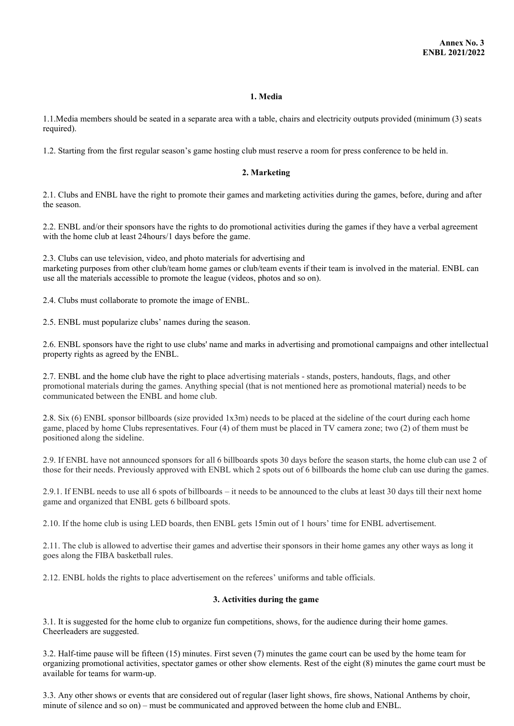#### **1. Media**

1.1.Media members should be seated in a separate area with a table, chairs and electricity outputs provided (minimum (3) seats required).

1.2. Starting from the first regular season's game hosting club must reserve a room for press conference to be held in.

#### **2. Marketing**

2.1. Clubs and ENBL have the right to promote their games and marketing activities during the games, before, during and after the season.

2.2. ENBL and/or their sponsors have the rights to do promotional activities during the games if they have a verbal agreement with the home club at least 24hours/1 days before the game.

2.3. Clubs can use television, video, and photo materials for advertising and marketing purposes from other club/team home games or club/team events if their team is involved in the material. ENBL can use all the materials accessible to promote the league (videos, photos and so on).

2.4. Clubs must collaborate to promote the image of ENBL.

2.5. ENBL must popularize clubs' names during the season.

2.6. ENBL sponsors have the right to use clubs' name and marks in advertising and promotional campaigns and other intellectual property rights as agreed by the ENBL.

2.7. ENBL and the home club have the right to place advertising materials - stands, posters, handouts, flags, and other promotional materials during the games. Anything special (that is not mentioned here as promotional material) needs to be communicated between the ENBL and home club.

2.8. Six (6) ENBL sponsor billboards (size provided 1x3m) needs to be placed at the sideline of the court during each home game, placed by home Clubs representatives. Four (4) of them must be placed in TV camera zone; two (2) of them must be positioned along the sideline.

2.9. If ENBL have not announced sponsors for all 6 billboards spots 30 days before the season starts, the home club can use 2 of those for their needs. Previously approved with ENBL which 2 spots out of 6 billboards the home club can use during the games.

2.9.1. If ENBL needs to use all 6 spots of billboards – it needs to be announced to the clubs at least 30 days till their next home game and organized that ENBL gets 6 billboard spots.

2.10. If the home club is using LED boards, then ENBL gets 15min out of 1 hours' time for ENBL advertisement.

2.11. The club is allowed to advertise their games and advertise their sponsors in their home games any other ways as long it goes along the FIBA basketball rules.

2.12. ENBL holds the rights to place advertisement on the referees' uniforms and table officials.

#### **3. Activities during the game**

3.1. It is suggested for the home club to organize fun competitions, shows, for the audience during their home games. Cheerleaders are suggested.

3.2. Half-time pause will be fifteen (15) minutes. First seven (7) minutes the game court can be used by the home team for organizing promotional activities, spectator games or other show elements. Rest of the eight (8) minutes the game court must be available for teams for warm-up.

3.3. Any other shows or events that are considered out of regular (laser light shows, fire shows, National Anthems by choir, minute of silence and so on) – must be communicated and approved between the home club and ENBL.